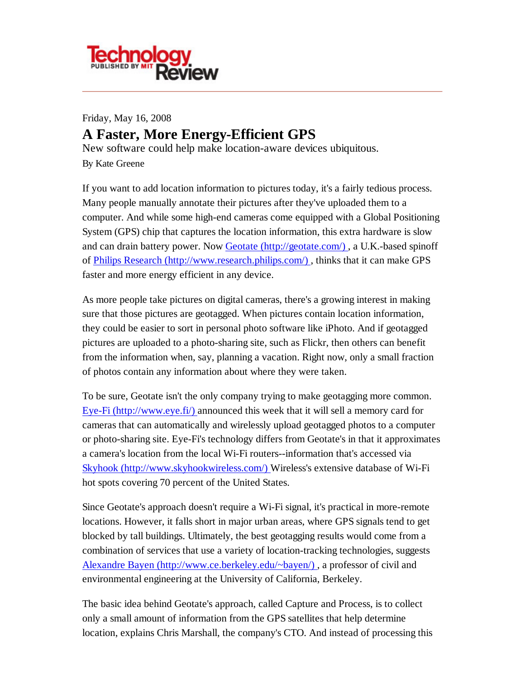

Friday, May 16, 2008 **A Faster, More Energy-Efficient GPS** New software could help make location-aware devices ubiquitous. By Kate Greene

If you want to add location information to pictures today, it's a fairly tedious process. Many people manually annotate their pictures after they've uploaded them to a computer. And while some high-end cameras come equipped with a Global Positioning System (GPS) chip that captures the location information, this extra hardware is slow and can drain battery power. Now Geotate (http://geotate.com/) , a U.K.-based spinoff of Philips Research (http://www.research.philips.com/) , thinks that it can make GPS faster and more energy efficient in any device.

As more people take pictures on digital cameras, there's a growing interest in making sure that those pictures are geotagged. When pictures contain location information, they could be easier to sort in personal photo software like iPhoto. And if geotagged pictures are uploaded to a photo-sharing site, such as Flickr, then others can benefit from the information when, say, planning a vacation. Right now, only a small fraction of photos contain any information about where they were taken.

To be sure, Geotate isn't the only company trying to make geotagging more common. Eye-Fi (http://www.eye.fi/) announced this week that it will sell a memory card for cameras that can automatically and wirelessly upload geotagged photos to a computer or photo-sharing site. Eye-Fi's technology differs from Geotate's in that it approximates a camera's location from the local Wi-Fi routers--information that's accessed via Skyhook (http://www.skyhookwireless.com/) Wireless's extensive database of Wi-Fi hot spots covering 70 percent of the United States.

Since Geotate's approach doesn't require a Wi-Fi signal, it's practical in more-remote locations. However, it falls short in major urban areas, where GPS signals tend to get blocked by tall buildings. Ultimately, the best geotagging results would come from a combination of services that use a variety of location-tracking technologies, suggests Alexandre Bayen (http://www.ce.berkeley.edu/~bayen/) , a professor of civil and environmental engineering at the University of California, Berkeley.

The basic idea behind Geotate's approach, called Capture and Process, is to collect only a small amount of information from the GPS satellites that help determine location, explains Chris Marshall, the company's CTO. And instead of processing this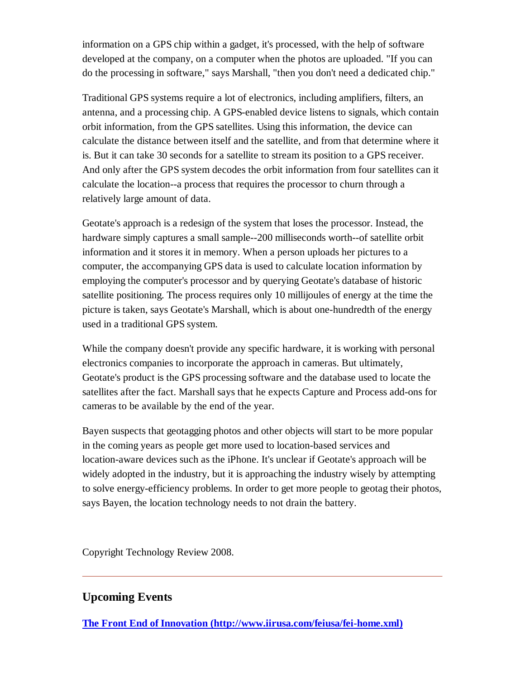information on a GPS chip within a gadget, it's processed, with the help of software developed at the company, on a computer when the photos are uploaded. "If you can do the processing in software," says Marshall, "then you don't need a dedicated chip."

Traditional GPS systems require a lot of electronics, including amplifiers, filters, an antenna, and a processing chip. A GPS-enabled device listens to signals, which contain orbit information, from the GPS satellites. Using this information, the device can calculate the distance between itself and the satellite, and from that determine where it is. But it can take 30 seconds for a satellite to stream its position to a GPS receiver. And only after the GPS system decodes the orbit information from four satellites can it calculate the location--a process that requires the processor to churn through a relatively large amount of data.

Geotate's approach is a redesign of the system that loses the processor. Instead, the hardware simply captures a small sample--200 milliseconds worth--of satellite orbit information and it stores it in memory. When a person uploads her pictures to a computer, the accompanying GPS data is used to calculate location information by employing the computer's processor and by querying Geotate's database of historic satellite positioning. The process requires only 10 millijoules of energy at the time the picture is taken, says Geotate's Marshall, which is about one-hundredth of the energy used in a traditional GPS system.

While the company doesn't provide any specific hardware, it is working with personal electronics companies to incorporate the approach in cameras. But ultimately, Geotate's product is the GPS processing software and the database used to locate the satellites after the fact. Marshall says that he expects Capture and Process add-ons for cameras to be available by the end of the year.

Bayen suspects that geotagging photos and other objects will start to be more popular in the coming years as people get more used to location-based services and location-aware devices such as the iPhone. It's unclear if Geotate's approach will be widely adopted in the industry, but it is approaching the industry wisely by attempting to solve energy-efficiency problems. In order to get more people to geotag their photos, says Bayen, the location technology needs to not drain the battery.

Copyright Technology Review 2008.

## **Upcoming Events**

**The Front End of Innovation (http://www.iirusa.com/feiusa/fei-home.xml)**